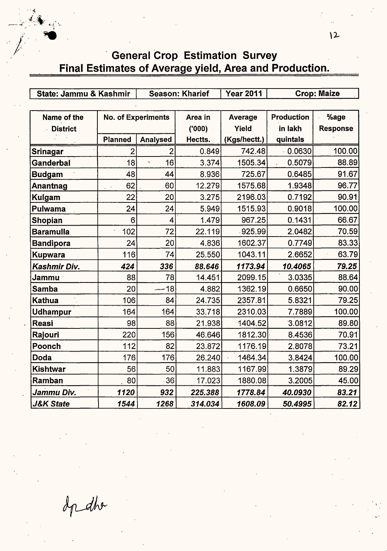**General Crop Estimation Survey** Final Estimates of Average yield, Area and Production.

State: Jammu & Kashmir | Season: Kharief | Year 2011 | Crop: Maize Name of the  $\parallel$  No. of Experiments  $\parallel$  Area in  $\parallel$  Average  $\parallel$  Production  $\parallel$  %age .- **District ('000) Yield in lakh Response Planned Analysed Hectts.** ( **Kgs/hectt.) quintals Srinagar** 2 2 0.849 742.48 · 0.0630 100.00 **Ganderbal 18 18 16 3.374 1505.34 0.5079 88.89 Budgam 48** 44 8.936 725.67 0.6485 91.67 **Anantnag** 62. 60 12.279 1575.68 1.9348 96.77 **Kulgam** 22 20 3.275 2196.03 0.7192 90.91 **Pulwarna** 24 24 5.949 1515.93 0.9018 100.00 **Shopian** 6 4 1.479 967.25 0.1431 66.67 **Baramulla** 102 72 22.119 925.99 2.0482 70.59 **Bandipora** 24 20 4.836 1602.37 0.7749" 83.33 **Kupwara** 116 74 25.550 1043.11 2.6652 63.79 **Kashmir Div. 424 336 88.646 1173.94 10.4065 79.25 Jammu** · 88 78 14.451 2099.15 3.0335 88.64 **Samba** 20 -18 4.882 1362.19 0.6650 90.00 **Kathua** 106 84 24.735 2357.81 5.8321 79.25 **Udhampur | 164 164 33.718 2310.03 7.7889 100.00 Reasi** 98 88 21.938 1404.52 "3.0812 89.80 **Rajouri** 220 156 46.646 1812.30· 8.4536 70.91 **Poonch** 112 82 23.872 1176.19 2.8078 73.21 **Doda** 176| 176| 26.240| 1464.34| 3.8424| 100.00| **Kishtwar 56**| 50| 11.883| 1167.99| 1.3879| 89.29| **Ramban** . 80 36 17.023 1880.08 3.2005 45.00 **Jammu Div. 1120 932 225.388 1778.84 40.0930 83.21 J&K State 1544 1268 314.034 1608.09 50.4995 82.12** 

In dhe

. ,~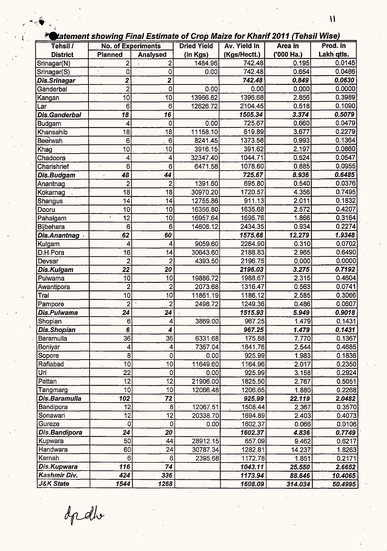$\ddot{\phantom{0}}$ 

|                      |                           |                       |                    | $\approx$ catement showing Final Estimate of Grop Malze for Kharif 2011 (Tensil Wise) |            |            |
|----------------------|---------------------------|-----------------------|--------------------|---------------------------------------------------------------------------------------|------------|------------|
| Tehsil /             | <b>No. of Experiments</b> |                       | <b>Dried Yield</b> | Av. Yield in                                                                          | Area in    | Prod. in   |
| <b>District</b>      | Planned                   | Analysed              | (in Kgs)           | (Kgs/Hectt.)                                                                          | ('000 Ha.) | Lakh qtls. |
| Srinagar(N)          | $\overline{c}$            | $\mathbf{2}^{\prime}$ | 1484.96            | 742.48                                                                                | 0.195      | 0.0145     |
| Srinagar(S)          | 0                         | 0                     | 0.00               | 742.48                                                                                | 0.654      | 0.0486     |
| Dis.Srinagar         | 2                         | $\mathbf{z}$          |                    | 742.48                                                                                | 0.849      | 0.0630     |
| Ganderbal            | $\overline{2}$            | 0                     | 0.00               | 0.00                                                                                  | 0.000      | 0.0000     |
| Kangan               | 10                        | 10                    | 13966.82           | 1396:68                                                                               | 2.856      | 0.3989     |
| Lar                  | 6                         | 6                     | 12626.72           | 2104.45                                                                               | 0.518      | 0.1090     |
| Dis.Ganderbal        | 18                        | 16                    |                    | 1505.34                                                                               | 3.374      | 0.5079     |
| <b>Budgam</b>        | 4                         | 0                     | 0.00               | 725.67                                                                                | 0.660      | 0.0479     |
| Khansahib            | 18                        | 18                    | 11158.10           | 619.89                                                                                | 3.677      | 0.2279     |
| <b>Beerwah</b>       | 6                         | 6                     | 8241.45            | 1373.58                                                                               | 0.993      | 0.1364     |
| Khag                 | 10                        | 10                    | 3916.15            | 391.62                                                                                | 2.197      | 0.0860     |
| Chadoora             | 4                         | 4                     | 32347.40           | 1044.71                                                                               | 0.524      | 0.0547     |
| Charishrief          | 6                         | 6                     | 6471.58            | 1078.60                                                                               | 0.885      | 0.0955     |
| Dis.Budgam           | 48<br>$\cdot$             | 44                    |                    | 725.67                                                                                | 8.936      | 0.6485     |
| Anantnag             | 2                         | 2                     | 1391.60            | 695.80                                                                                | 0.540      | 0.0376     |
| Kokarnag             | 18                        | 18                    | 30970.20           | 1720.57                                                                               | 4.356      | 0.7495     |
| Shangus              | 14                        | 14                    | 12755.86           | 911.13                                                                                | 2.011      | 0.1832     |
| Dooru                | 10                        | 10                    | 16356.80           | 1635.68                                                                               | 2.572      | 0.4207     |
| Pahalgam             | 12<br>$\mathbf{A}$        | 10                    | 16957.64           | 1695.76                                                                               | 1.866      | 0.3164     |
| Bijbehara            | 6                         | 6                     | 14606.12           | 2434.35                                                                               | 0.934      | 0.2274     |
| Dis.Anantnag         | 62                        | 60                    |                    | 1575.68                                                                               | 12.279     | 1.9348     |
| Kulgam               | 4                         | 4                     | 9059.60            | 2264.90                                                                               | 0.310      | 0.0702     |
| D.H.Pora             | 16                        | 14                    | 30643.60           | 2188.83                                                                               | 2.965      | 0.6490     |
| Devsar               | $\overline{2}$            | $\overline{2}$        | 4393.50            | 2196.75                                                                               | 0.000      | 0.0000     |
| Dis.Kulgam           | 22                        | 20                    |                    | 2196.03                                                                               | 3.275      | 0.7192     |
| Pulwama              | 10                        | 10                    | 19886.72           | 1988.67                                                                               | 2.315      | 0.4604     |
| Awantipora           | 2                         | $\overline{c}$        | 2073.68            | 1316.47                                                                               | 0.563      | 0.0741     |
| Tral                 | 10                        | 10                    | 11861.19           | 1186.12                                                                               | 2.585      | 0.3066     |
| Pampore              | $\overline{2}$            | $\overline{2}$        | 2498.72            | 1249.36                                                                               | 0.486      | 0.0607     |
| Dis.Pulwama          | 24                        | 24                    |                    | 1515.93                                                                               | 5.949      | 0.9018     |
| Shopian              | 6                         | 4                     | 3869.00            | 967.25                                                                                | 1.479      | 0.1431     |
| Dis.Shopian          | 6                         | 4                     |                    | 967.25                                                                                | 1.479      | 0.1431     |
| <b>Baramulla</b>     | 36                        | 36                    | 6331.68            | 175.88                                                                                | 7.770      | 0.1367     |
| Boniyar              | $\overline{\mathbf{4}}$   | 4                     | 7367.04            | 1841.76                                                                               | 2.544      | 0.4685     |
| Sopore               | 8                         | $\overline{0}$        | 0.00               | 925.99                                                                                | 1.983      | 0.1836     |
| Rafiabad             | 10                        | 10 <sup>1</sup>       | 11649.60           | 1164.96                                                                               | 2.017      | 0.2350     |
| Uri                  | 22                        | $\mathbf 0$           | 0.00               | 925.99                                                                                | 3.158      | 0.2924     |
| Pattan               | 12                        | 12                    | 21906.00           | 1825.50                                                                               | 2.767      | 0.5051     |
| Tangmarg             | 10                        | 10                    | 12066.48           | 1206.65                                                                               | 1.880      | 0.2268     |
| Dis.Baramulla        | 102                       | 72                    |                    | 925.99                                                                                | 22.119     | 2.0482     |
| Bandipora            | 12                        | 8                     | 12067.51           | 1508.44                                                                               | 2.367      | 0.3570     |
| Sonawari             | $\overline{12}$           | 12                    | 20338.70           | 1694.89                                                                               | 2.403      | 0.4073     |
| Gureze               | 0                         | 0                     | 0.00               | 1602.37                                                                               | 0.066      | 0.0106     |
| Dis.Bandipora        | 24                        | 20                    |                    | 1602.37                                                                               | 4.836      | 0.7749     |
| Kupwara              | 50                        | 44                    | 28912.15           | 657.09                                                                                | 9.462      | 0.6217     |
| Handwara             | 60                        | 24                    | 30787.34           | 1282.81                                                                               | 14.237     | 1.8263     |
| Karnah               | 6                         | 6                     | 2395.68            | 1172.78                                                                               | 1.851      | 0.2171     |
| Dis.Kupwara          | 116                       | 74                    |                    | 1043.11                                                                               | 25.550     | 2.6652     |
| Kashmir Div.         | 424                       | 336                   |                    | 1173.94                                                                               | 88.646     | 10.4065    |
| <b>J&amp;K State</b> | 1544                      | 1268                  |                    | 1608.09                                                                               | 314.034    | 50.4995    |

opello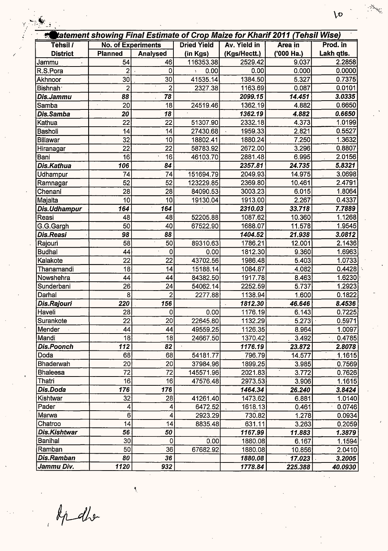|                      |                           |                 | tatement showing Final Estimate of Crop Maize for Kharif 2011 (Tehsil Wise) |              |                |            |  |
|----------------------|---------------------------|-----------------|-----------------------------------------------------------------------------|--------------|----------------|------------|--|
| Tehsil /             | <b>No. of Experiments</b> |                 | <b>Dried Yield</b>                                                          | Av. Yield in | <b>Area</b> in | Prod. in   |  |
| <b>District</b>      | <b>Planned</b>            | Analysed        | (in Kgs)                                                                    | (Kgs/Hectt.) | ('000 Ha.)     | Lakh qtis. |  |
| Jammu                | 54                        | 46              | 116353.38                                                                   | 2529.42      | 9.037          | 2.2858     |  |
| R.S.Pora             | 2                         | 0               | 0.00                                                                        | 0.00         | 0.000          | 0.0000     |  |
| Akhnoor              | 30                        | 30              | 41535.14                                                                    | 1384.50      | 5.327          | 0.7375     |  |
| Bishnah <sup>®</sup> | $\overline{2}$            | $\overline{2}$  | 2327.38                                                                     | 1163.69      | 0.087          | 0.0101     |  |
| Dis.Jammu            | 88                        | 78              |                                                                             | 2099.15      | 14.451         | 3.0335     |  |
| Samba                | 20<br>$\cdot$             | 18              | 24519.46                                                                    | 1362.19      | 4.882          | 0.6650     |  |
| Dis.Samba            | 20                        | 18              |                                                                             | 1362.19      | 4.882          | 0.6650     |  |
| Kathua               | 22                        | 22              | 51307.90                                                                    | 2332.18      | 4.373          | 1.0199     |  |
| Basholi              | 14                        | 14              | 27430.68                                                                    | 1959.33      | 2.821          | 0.5527     |  |
| <b>Billawar</b>      | 32                        | 10              | 18802.41                                                                    | 1880.24      | 7.250          | 1.3632     |  |
| Hiranagar            | 22                        | 22              | 58783.92                                                                    | 2672.00      | 3.296          | 0.8807     |  |
| Bani                 | 16                        | 16              | 46103.70                                                                    | 2881.48      | 6.995          | 2.0156     |  |
| Dis.Kathua           | 106                       | 84              |                                                                             | 2357.81      | 24.735         | 5.8321     |  |
| Udhampur             | 74                        | 74              | 151694.79                                                                   | 2049.93      | 14.975         | 3.0698     |  |
| Ramnagar             | 52                        | 52              | 123229.85                                                                   | 2369.80      | 10.461         | 2.4791     |  |
| Chenani              | 28                        | 28              | 84090.53                                                                    | 3003.23      | 6.015          | 1.8064     |  |
| Majalta              | 10                        | 10              | 19130.04                                                                    | 1913.00      | 2.267          | 0.4337     |  |
| Dis.Udhampur         | 164                       | 164             |                                                                             | 2310.03      | 33.718         | 7.7889     |  |
| Reasi                | 48                        | 48              | 52205.88                                                                    | 1087.62      | 10.360         | 1.1268     |  |
| G.G.Gargh            | 50                        | 40              | 67522.90                                                                    | 1688.07      | 11.578         | 1.9545     |  |
| Dis.Reasi            | 98                        | 88              |                                                                             | 1404.52      | 21.938         | 3.0812     |  |
| Rajouri              | 58                        | 50              | 89310.63                                                                    | 1786.21      | 12.001         | 2.1436     |  |
| <b>Budhal</b>        | 44                        | 0               | 0.00                                                                        | 1812.30      | 9.360          | 1.6963     |  |
| Kalakote             | 22                        | 22              | 43702.56                                                                    | 1986.48      | 5.403          | 1.0733     |  |
| Thanamandi           | 18                        | 14              | 15188.14                                                                    | 1084.87      | 4.082          | 0.4428     |  |
| Nowshehra            | 44                        | 44              | 84382.50                                                                    | 1917.78      | 8.463          | 1.6230     |  |
| Sunderbani           | 26                        | 24              | 54062.14                                                                    | 2252.59      | 5.737          | 1.2923     |  |
| Darhal               | 8                         | 2               | 2277.88                                                                     | 1138.94      | 1.600          | 0.1822     |  |
| Dis.Rajouri          | 220                       | 156             |                                                                             | 1812.30      | 46.646         | 8.4536     |  |
| Haveli               | 28                        | 0               | 0.00                                                                        | 1176.19      | 6.143          | 0.7225     |  |
| Surankote            | 22                        | $\overline{20}$ | 22645.80                                                                    | 1132.29      | 5.273          | 0.5971     |  |
| Mender               | 44                        | 44              | 49559.25                                                                    | 1126.35      | 8.964          | 1.0097     |  |
| Mandi                | 18                        | 18              | 24667.50                                                                    | 1370.42      | 3.492          | 0.4785     |  |
| <b>Dis.Poonch</b>    | 112                       | 82              |                                                                             | 1176.19      | 23.872         | 2.8078     |  |
| Doda                 | 68                        | 68              | 54181.77                                                                    | 796.79       | 14.577         | 1.1615     |  |
| Bhaderwah            | 20                        | 20              | 37984.96                                                                    | 1899.25      | 3.985          | 0.7569     |  |
| <b>Bhaleesa</b>      | 72                        | 72              | 145571.96                                                                   | 2021.83      | 3.772          | 0.7626     |  |
| Thatri               | 16                        | 16              | 47576.48                                                                    | 2973.53      | 3.906          | 1.1615     |  |
| Dis.Doda             | 176                       | 176             |                                                                             | 1464.34      | 26.240         | 3.8424     |  |
| Kishtwar             | 32                        | 28              | 41261.40                                                                    | 1473.62      | 6.881          | 1.0140     |  |
| Pader                | 4                         | 4               | 6472.52                                                                     | 1618.13      | 0.461          | 0.0746     |  |
| Marwa                | 6                         | 4               | 2923.29                                                                     | 730.82       | 1.278          | 0.0934     |  |
| Chatroo              | 4                         | 14              | 8835.48                                                                     | 631.11       | 3.263          | 0.2059     |  |
| Dis.Kishtwar         | 56                        | 50              |                                                                             | 1167.99      | 11.883         | 1.3879     |  |
| <b>Banihal</b>       | 30 <sub>o</sub>           | $\mathbf 0$     | 0.00                                                                        | 1880.08      | 6.167          | 1.1594     |  |
| Ramban               | 50                        | 36              | 67682.92                                                                    | 1880.08      | 10.856         | 2.0410     |  |
| Dis.Ramban           | 80                        | 36              |                                                                             | 1880.08      | 17.023         | 3.2005     |  |
| Jammu Div.           | 1120                      | 932             |                                                                             | 1778.84      | 225.388        | 40.0930    |  |

didlo

 $\tilde{\mathcal{L}}$ 

 $\sqrt{2}$ 

e Salaman<br>Santa Santa Bandara Santa Bandara Santa Bandara Santa Bandara Santa Bandara Santa Bandara Santa Bandara Santa<br>Santa Bandara Santa Bandara Santa Bandara Santa Bandara Santa Bandara Santa Bandara Santa Bandara Sant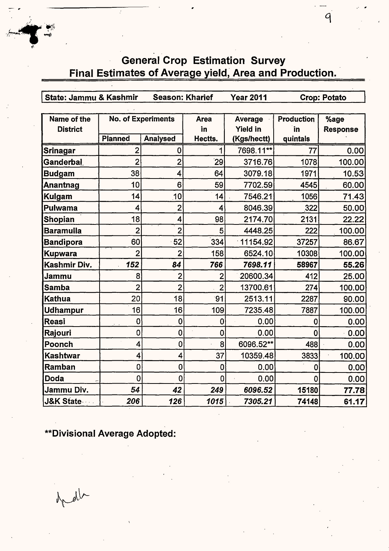# General Crop Estimation Survey Final Estimates of Average yield, Area and Production.

r State: Jammu & Kashmir Season: Kharief Year2011 Crop: Potato

9

| Name of the           |                | <b>No. of Experiments</b> | Area           | Average         | <b>Production</b> | %age            |
|-----------------------|----------------|---------------------------|----------------|-----------------|-------------------|-----------------|
| <b>District</b>       |                |                           | in             | <b>Yield in</b> | in                | <b>Response</b> |
|                       | <b>Planned</b> | <b>Analysed</b>           | Hectts.        | (Kgs/hectt)     | quintals          |                 |
| Srinagar              | 2              | 0                         | 1              | 7698.11**       | 77                | 0.00            |
| Ganderbal,            | $\overline{2}$ | $\overline{2}$            | 29             | 3716.76         | 1078              | 100.00          |
| <b>Budgam</b>         | 38             | 4                         | 64             | 3079.18         | 1971              | 10.53           |
| Anantnag              | 10             | 6                         | 59             | 7702.59         | 4545              | 60,00           |
| <b>Kulgam</b>         | 14             | 10                        | 14             | 7546.21         | 1056              | 71.43           |
| Pulwama               | 4              | $\overline{2}$            | 4              | 8046.39         | 322               | 50.00           |
| Shopian               | 18             | 4                         | 98             | 2174.70         | 2131              | 22.22           |
| <b>Baramulla</b>      | $\overline{2}$ | $\overline{2}$            | 5              | 4448.25         | 222               | 100.00          |
| <b>Bandipora</b>      | 60             | 52                        | 334            | 11154.92        | 37257             | 86.67           |
| <b>Kupwara</b>        | $\overline{2}$ | $\overline{2}$            | 158            | 6524.10         | 10308             | 100.00          |
| Kashmir Div.          | 152            | 84                        | 766            | 7698.11         | 58967             | 55.26           |
| Jammu                 | 8              | 2                         | $\overline{2}$ | 20600.34        | 412               | 25.00           |
| <b>Samba</b>          | $\overline{2}$ | $\overline{2}$            | $\overline{2}$ | 13700.61        | 274               | 100.00          |
| <b>Kathua</b>         | 20             | 18                        | 91             | 2513.11         | 2287              | 90.00           |
| Udhampur              | 16             | 16                        | 109            | 7235.48         | 7887              | 100.00          |
| <b>Reasi</b>          | 0              | $\mathbf 0$               | $\mathbf 0$    | 0.00            | 0                 | 0.00            |
| Rajouri               | 0              | $\mathbf 0$               | $\mathbf 0$    | 0.00            | $\mathbf 0$       | 0.00            |
| Poonch                | 4              | $\mathbf 0$               | 8              | 6096.52**       | 488               | 0.00            |
| <b>Kashtwar</b>       | 4              | 4                         | 37             | 10359.48        | 3833              | 100.00          |
| Ramban                | 0              | $\mathbf 0$               | $\mathbf 0$    | 0.00            | 0                 | 0.00            |
| Doda                  | $\overline{0}$ | $\mathbf 0$               | 0              | 0.00            | 0                 | 0.00            |
| Jammu Div.            | 54             | 42                        | 249            | 6096.52         | 15180             | 77.78           |
| <b>J&amp;K State-</b> | 206            | 126                       | 1015           | 7305.21         | 74148             | 61.17           |

\*\*Divisional Average Adopted:

grad

*<sup>l</sup>*-·~j~ ·/~- -~

"'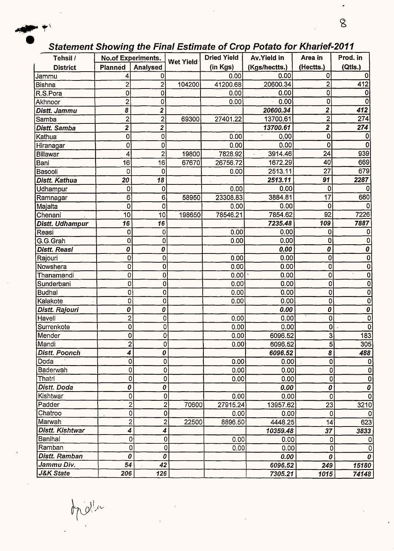

## Statement Showing the Final Estimate of Crop Potato for Kharief-2011

 $\tilde{\phantom{a}}$ 

 $8\,$ 

| Tehsil /             |                  | <b>No.of Experiments.</b> |                         | <b>Dried Yield</b> | Av.Yield in   | Area in        | Prod. in              |
|----------------------|------------------|---------------------------|-------------------------|--------------------|---------------|----------------|-----------------------|
| <b>District</b>      | <b>Planned</b>   | Analysed                  | <b>Wet Yield</b>        | (in Kgs)           | (Kgs/hectts.) | (Hectts.)      | (Qtls.)               |
| Jammu                | 4                | 0                         |                         | 0.00               | 0.00          | 0              |                       |
| Bishna               | $\overline{c}$   | $\overline{2}$            | 104200                  | 41200.68           | 20600.34      | $\overline{2}$ | 412                   |
| R.S.Pora             | 0                | 0                         |                         | 0.00               | 0.00          | 0              |                       |
| Akhnoor              | 2                | 0                         |                         | 0.00               | 0.00          | 0              |                       |
| Distt. Jammu         | 8                | 2                         |                         |                    | 20600.34      | 2              | 412                   |
| Samba                | $\overline{c}$   | $\overline{c}$            | 69300                   | 27401.22           | 13700.61      | $\mathbf{2}$   | 274                   |
| Distt. Samba         | $\boldsymbol{2}$ | 2                         |                         |                    | 13700.61      | $\mathbf 2$    | 274                   |
| Kathua               | 0                | 0                         |                         | 0.00               | 0.00          | 0              |                       |
| Hiranagar            | 0                | 0                         |                         | 0.00               | 0.00          | 0              | 0                     |
| Billawar             | 4                | $\overline{\mathbf{c}}$   | 19800                   | 7828.92            | 3914.46       | 24             | 939                   |
| Bani                 | 16               | 16                        | 67670                   | 26756.72           | 1672.29       | 40             | 669                   |
| Basooli              | 0                | 0                         |                         | 0.00               | 2513.11       | 27             | 679                   |
| Distt. Kathua        | 20               | 18                        |                         |                    | 2513.11       | 91             | 2287                  |
| Udhampur             | 0                | 0                         |                         | 0.00               | 0.00          | 0              |                       |
| Ramnagar             | 6                | 6                         | 58950                   | 23308.83           | 3884.81       | 17             | 660                   |
| Majalta              | $\mathbf 0$      | 0                         |                         | 0.00               | 0.00          | 0              | <sup>0</sup>          |
| Chenani              | 10               | 10                        | 198650                  | 78546.21           | 7854.62       | 92             | 7226                  |
| Distt. Udhampur      | 16               | 16                        |                         |                    | 7235.48       | 109            | 7887                  |
| Reasi                | 0                | 0                         |                         | 0.00               | 0.00          | 0              | 0                     |
| G.G.Grah             | 0                | 0                         |                         | 0.00               | 0.00          | 0              | 0                     |
| Distt. Reasi         | 0                | 0                         |                         |                    | 0.00          | 0              | $\pmb{o}$             |
| Rajouri              | 0                | 0                         |                         | 0.00               | 0.00          | 0              | $\mathbf 0$           |
| Nowshera             | 0                | 0                         |                         | 0.00               | 0.00          | 0              | $\bf{0}$              |
| Thanamandi           | 0                | 0                         |                         | 0.00               | 0.00          | $\overline{0}$ | $\overline{0}$        |
| Sunderbani           | 0                | 0                         |                         | 0.00               | 0.00          | 0              | $\mathbf 0$           |
| <b>Budhal</b>        | $\overline{0}$   | $\mathbf 0$               |                         | 0.00               | 0.00          | $\mathbf 0$    | $\mathbf 0$           |
| Kalakote             | 0                | 0                         |                         | 0.00               | 0.00          | 0              | $\mathbf 0$           |
| Distt. Rajouri       | 0                | 0                         |                         |                    | 0.00          | 0              | 0                     |
| Haveli               | $\overline{c}$   | 0                         |                         | 0.00               | 0.00          | 0              | 0                     |
| Surrenkote           | 0                | 0                         |                         | 0.00               | 0.00          | 0              | $\mathbf 0$           |
| Mender               | 0                | 0                         |                         | 0.00               | 6096.52       | 3              | 183                   |
| Mandi                | o                | 0                         |                         | 0.00               | 6096.52       | $\overline{5}$ | 305                   |
| <b>Distt. Poonch</b> | 4                | 0                         |                         |                    | 6096.52       | 8              | 488                   |
| Doda                 | 0                | 0                         |                         | 0.00               | 0.00          | 0              | 0                     |
| Baderwah             | 0                | 0                         |                         | 0.00               | 0.00          | 0              | $\overline{0}$        |
| Thatri               | 0                | 0                         |                         | 0.00               | 0.00          | 0              | 0                     |
| Distt. Doda          | 0                | 0                         |                         |                    | 0.00          | 0              | $\boldsymbol{o}$      |
| Kishtwar             | 0                |                           | 0                       | 0.00               | 0.00          | $\mathbf 0$    | $\overline{0}$        |
| Padder               | $\overline{c}$   |                           | $\overline{2}$<br>70600 | 27915.24           | 13957.62      | 23             | 3210                  |
| Chatroo              | 0                |                           | 0                       | 0.00               | 0.00          | 0              | $\mathbf{0}$          |
| Marwah               | $\overline{2}$   |                           | 2<br>22500              | 8896.50            | 4448.25       | 14             | 623                   |
| Distt. Kishtwar      | 4                | 4                         |                         |                    | 10359.48      | 37             | 3833                  |
| Banihal              | 0                |                           | 0                       | 0.00               | 0.00          | 0              | 0                     |
| Ramban               | 0                |                           | 0                       | 0.00               | 0.00          | 0              | $\mathbf 0$           |
| Distt. Ramban        | 0                | 0                         |                         |                    | 0.00          | 0              | $\boldsymbol{\theta}$ |
| Jammu Div.           | 54               | 42                        |                         |                    | 6096.52       | 249            | 15180                 |
| <b>J&amp;K State</b> | 206              | 126                       |                         |                    | 7305.21       | 1015           | 74148                 |

opollo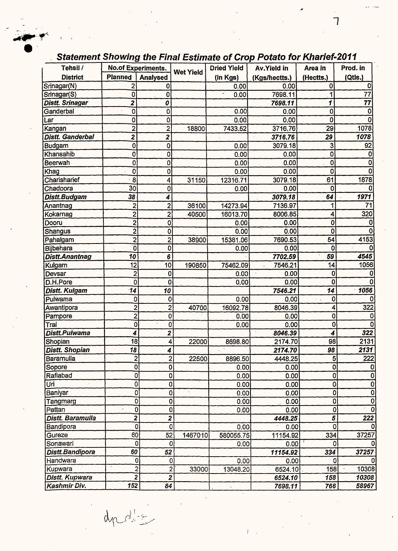#### $\bullet$ **Tehsil** / **No.of Experiments. Wet Yield Dried Yield Av.Yield in Area in Prod. in District** Planned Analysed (in Kgs) (Kgs/hectts.) (Hectts.) (Qtls.)<br>Srinagar(N) 2 0 0 0.00 0.00 0 0.00 0 0 Srinagar(N) 2| 0| 0.00| 0.00| 0| 0| Srinagar(S) 0 0 0 0 7698.11 1 77 **Distt. Srinagar 2 0 7698.11 1 77**  Ganderbal 0 0 0.00 0.00 0 0 Lar 0| 0| 0.00| 0.00| 0| 0| Kangan 2 2 18800 7433.52 3716.76 **29** 1078 **Distt. Ganderbal 2** 2 2 3716.76 29 1078 Budgam 0 0 0.00 3079.18 3 92 Khansahib 0| 0| 0.00| 0.00| 0| 0| Beerwah 0 0 0.00 0.00 0 0 Khag 0 0 0.00 0.00 0 0 0 Charisharief 8 8 4 31150 12316.71 3079.18 61 1878 Chadoora 30 0 0.00 0.00 0 0 **Distt.Budgam 38 4 3079.18 64 1971**  Anantnag 2 2 36100 14273.94 7136.97 1 71 Kokarnag 2 2 40500 16013.70 8006.85 4 320 Dooru 2 0 0.00 o.oo 0 0 Shangus 2 0 0 00 0.00 0.00 0.00 0 0 0 0 Pahalgam | 2 2 38900 15381.06 7690.53 54 4153 Bijbehara 0 0 0.00 0.00 0 0 **Distt.Anantnag 10 6 7702.59 59 4545**  Kulgam 12 10 190850 75462.09 7546.21 14 1056 Devsar 2 0 0.00 0.00 0 0 D.H.Pore 0 0 0 0 0.00 0.00 0 0 0 0 0 **Distt. Kulgam 14 14 10 10 7546.21 14 1056** Pulwama 0 0 0.00 0.00 0 0 Awantioora 2 2 40700 16092.78 8046.39 4 322 Pampore 2 0 0 0.00 0.00 0.00 0.00 0 0.00 0 0 0 Tral \_\_\_ \_\_\_ \_\_ \_\_ \_\_ \_\_ \_0| \_\_ \_\_ \_\_ 0| \_\_ \_\_ \_\_ \_ \_0\_ \_\_ \_\_ 0.00| \_\_\_ \_\_ \_0| \_\_ \_\_ \_0| \_\_ \_\_ \_0| \_ **Distt.Pulwama 4 2 322 6046.39 4 322** Shooian 18 4 22000 8698.80 2174.70 98 2131 **Distt. Shopian 18 18 18 18 18 2174.70 98 2131** Baramulla 2 2 22500 8896.50 **4448.25** 5 **222**  Sopore 0 0 0.00 0.00 0 0 Rafiabad 0| 0| 0.00| 0.00| 0| 0| Uri 0 0 0.00 0.00 0 0 Baniyar 0 0 0 0 0.00 0.00 0 0 0 0 0 Tangmarg 0 0 0.00 0.00 0 0 Pattan 0 0 0.00 0.00 0 0 0 **Distt. Baramu/la 2 2 4448.25 5 222**  Bandipora 0 0 0.00 0.00 0 0 Gureze 1. 37257 [60] 52 1467010 580055.75 11154.92 334 37257 Sonawari 0 0 0.00 0.00 I 0 0 **Distt.Bandipora** *60* **52 11154.92 334 37257**  Handwara | 0 0 0 0 0 0.00 0.00 0.00 0 0 0 0 0 Kupwara 2 2· 33000 13048.20 6524.10 . 158 10308 Distt. Kupwara 2 **2 6524.10 158 10308 Kashmir Div. 152 84 7698.11 766 58967**

### Statement Showing the Final Estimate of Crop Potato for Kharief-2011

7

 $-$ 

dudio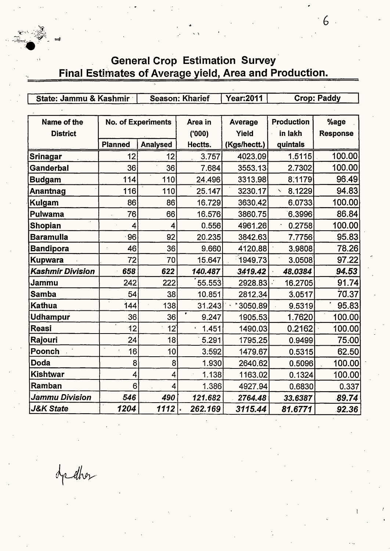

..

State: Jammu & Kashmir | Season: Kharief | Year:2011 | Crop: Paddy Name of the | No. of Experiments | Area in | Average | Production | %age **District ('000) Yield in lakh Response**  Planned Analysed Hectts. (Kgs/hectt.) quintals <mark>Srinagar | 12 12 12 3.757 4023.09 1.5115 100.00</mark> **Ganderbal** 36 36 7.684 3553.13 2.7302 100.00 **Budgam** 114 110 24.496 3313.98 8:1179 96.49

| Anantnag             | 116            | 110             | 25.147  | 3230.17 | 8.1229<br>$\boldsymbol{\mathcal{N}}$ | 94.83  |
|----------------------|----------------|-----------------|---------|---------|--------------------------------------|--------|
| <b>Kulgam</b>        | 86             | 86'             | 16.729  | 3630.42 | 6.0733                               | 100.00 |
| Pulwama              | 76             | 66              | 16.576  | 3860.75 | 6.3996                               | 86.84  |
| <b>Shopian</b>       | 4              | 4               | 0.556   | 4961.26 | 0.2758                               | 100.00 |
| <b>Baramulla</b>     | 96             | 92              | 20.235  | 3842.63 | 7.7756                               | 95.83  |
| <b>Bandipora</b>     | 46             | 36              | 9.660   | 4120.88 | 3.9808                               | 78.26  |
| <b>Kupwara</b>       | 72             | 70              | 15.647  | 1949.73 | 3.0508                               | 97.22  |
| Kashmir Division     | 658            | 622             | 140.487 | 3419.42 | 48.0384                              | 94.53  |
| Jammu                | 242            | 222             | 55.553  | 2928.83 | 16.2705                              | 91.74  |
| <b>Samba</b>         | 54             | 38              | 10.851  | 2812.34 | 3.0517                               | 70.37  |
| <b>Kathua</b>        | 144            | 138             | 31.243  | 3050.89 | 9.5319                               | 95.83  |
| <b>Udhampur</b>      | 36             | 36              | 9.247   | 1905.53 | 1.7620                               | 100.00 |
| <b>Reasi</b>         | 12             | $12^{^{\circ}}$ | 1.451   | 1490.03 | 0.2162                               | 100.00 |
| Rajouri              | 24             | 18              | 5.291   | 1795.25 | 0.9499                               | 75.00  |
| Poonch               | 16             | 10              | 3:592   | 1479.67 | 0.5315                               | 62.50  |
| Doda                 | 8              | 8               | 1.930   | 2640.62 | 0.5096                               | 100.00 |
| <b>Kishtwar</b>      | 4              | 4               | 1.138   | 1163.02 | 0.1324                               | 100.00 |
| Ramban               | 6 <sup>1</sup> | 4               | 1.386   | 4927.94 | 0.6830                               | 0.337  |
| Jammu Division       | 546            | 490             | 121.682 | 2764.48 | 33.6387                              | 89.74  |
| <b>J&amp;K State</b> | 1204           | 1112            | 262.169 | 3115.44 | 81.6771                              | 92.36  |

dpedher

 $6 -$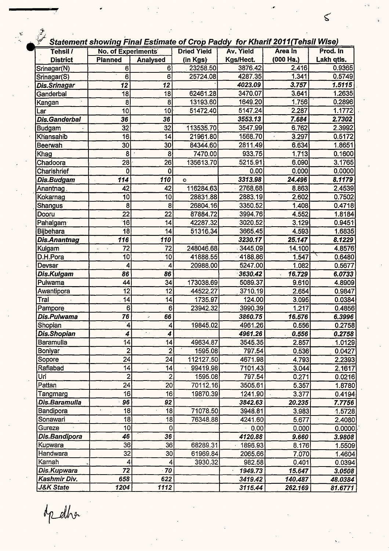|  |  | tatement showing Final Estimate of Crop Paddy  for Kharif 2011(Tehsil Wise) |  |  |  |
|--|--|-----------------------------------------------------------------------------|--|--|--|
|--|--|-----------------------------------------------------------------------------|--|--|--|

 $\leq$ 

| $\mathcal{Z}$<br>Statement showing Final Estimate of Crop Paddy for Kharif 2011(Tehsil Wise)<br>Tehsil / | <b>No. of Experiments</b>                |                                | <b>Dried Yield</b> | Av. Yield | Area In   | Prod. In         |
|----------------------------------------------------------------------------------------------------------|------------------------------------------|--------------------------------|--------------------|-----------|-----------|------------------|
| <b>District</b>                                                                                          | <b>Planned</b>                           | <b>Analysed</b>                | (in Kgs)           | Kgs/Hect. | (000 Ha.) | Lakh qtis.       |
|                                                                                                          | $6^{\circ}$                              | 6                              | 23258.50           | 3876.42   | 2.416     | 0.9365           |
| Srinagar(N)                                                                                              | $\overline{6}$                           | 6 <sup>1</sup>                 | 25724.08           | 4287.35   | 1.341     | 0.5749           |
| Srinagar(S)                                                                                              | $\overline{12}$                          | 12                             |                    | 4023.09   | 3.757     | 1.5115           |
| Dis.Srinagar                                                                                             |                                          | $\overline{18}$                | 62461.28           | 3470.07   | 3.641     | 1.2635           |
| Ganderbal                                                                                                | $\overline{18}$                          |                                | 13193.60           | 1649.20   | 1.756     |                  |
| Kangan                                                                                                   | 8<br>10                                  | 8<br>10 <sup>1</sup>           |                    | 5147.24   | 2.287     | 0.2896<br>1.1772 |
| Lar                                                                                                      |                                          |                                | 51472.40           | 3553.13   |           | 2.7302           |
| <b>Dis.Ganderbal</b>                                                                                     | 36<br>32                                 | 36                             |                    | 3547.99   | 7.684     | 2.3992           |
| <b>Budgam</b>                                                                                            | $\overline{16}$                          | 32                             | 113535.70          |           | 6.762     |                  |
| Khansahib                                                                                                |                                          | 14                             | 21961.80           | 1568.70   | 3.297     | 0.5172           |
| Beerwah                                                                                                  | 30                                       | 30                             | 84344.60           | 2811.49   | 6.634     | 1.8651           |
| Khag                                                                                                     | 8                                        | 8                              | 7470.00            | 933.75    | 1.713     | 0.1600           |
| Chadoora                                                                                                 | 28                                       | 26                             | 135613.70          | 5215.91   | 6.090     | 3.1765           |
| Charishrief                                                                                              | 0                                        | $\bf{0}$                       |                    | 0.00      | 0.000     | 0.0000           |
| Dis.Budgam                                                                                               | 114                                      | 110                            | $\circ$            | 3313.98   | 24.496    | 8.1179           |
| Anantnag                                                                                                 | 42                                       | 42                             | 116284.63          | 2768.68   | 8.863     | 2.4539           |
| Kokarnag                                                                                                 | 10                                       | 10                             | 28831.88           | 2883.19   | 2,602     | 0.7502           |
| <b>Shangus</b>                                                                                           | $\overline{\mathbf{8}}$                  | 8                              | 26804.16           | 3350.52   | 1.408     | 0.4718           |
| Dooru                                                                                                    | $\overline{22}$                          | 22                             | 87884.72           | 3994.76   | 4.552     | 1.8184           |
| Pahalgam                                                                                                 | $\overline{16}$                          | 14                             | 42287.32           | 3020.52   | 3.129     | 0.9451           |
| <b>Bijbehara</b>                                                                                         | $\overline{18}$                          | 14                             | 51316.34           | 3665.45   | 4.593     | 1.6835           |
| <b>Dis.Anantnag</b>                                                                                      | 116                                      | 110                            |                    | 3230.17   | 25.147    | 8.1229           |
| Kulgam                                                                                                   | $\overline{72}$<br>$\tilde{\mathcal{L}}$ | 72                             | 248046.68          | 3445.09   | 14.100    | 4.8576           |
| D.H.Pora                                                                                                 | 10                                       | 10                             | 41888.55           | 4188.86   | 1.547     | 0.6480           |
| Devsar                                                                                                   | 4                                        | $\overline{4}$                 | 20988.00           | 5247.00   | 1.082     | 0.5677           |
| Dis.Kulgam                                                                                               | 86                                       | 86                             |                    | 3630.42   | 16.729    | 6.0733           |
| Pulwama                                                                                                  | 44                                       | 34                             | 173038.69          | 5089.37   | 9.610     | 4.8909           |
| Awantipora                                                                                               | $\overline{12}$                          | 12                             | 44522.27           | 3710.19   | 2.654     | 0.9847           |
| Tral                                                                                                     | 14                                       | 14                             | 1735.97            | 124.00    | 3.095     | 0.0384           |
| Pampore                                                                                                  | 61                                       | 6 <sub>1</sub>                 | 23942.32           | 3990.39   | 1.217     | 0.4856           |
| Dis.Pulwama                                                                                              | 76                                       | 66<br>$\overline{\phantom{a}}$ |                    | 3860.75   | 16.576    | 6.3996           |
| Shopian                                                                                                  | 4                                        | 4                              | 19845.02           | 4961.26   | 0.556     | 0.2758           |
| <b>Dis.Shopian</b>                                                                                       | 4                                        | $\sim$ $\sim$<br>4             |                    | 4961.26   | 0.556     | 0.2758           |
| <b>Baramulla</b>                                                                                         | 14                                       | 14                             | 49634.87           | 3545.35   | 2.857     | 1.0129           |
| Boniyar                                                                                                  | $\overline{c}$                           | $\mathbf{2}$                   | 1595.08            | 797.54    | 0.536     | 0.0427           |
| Sopore                                                                                                   | 24                                       | 24                             | 112127.50          | 4671.98   | 4.793     | 2.2393           |
| Rafiabad                                                                                                 | 14                                       | 14                             | 99419.98           | 7101.43   | 3.044     | 2.1617           |
| Uri                                                                                                      | $\overline{2}$                           | 2                              | 1595.08            | 797.54    | 0.271     | 0.0216           |
| Pattan                                                                                                   | 24                                       | 20 <sup>1</sup>                | 70112.16           | 3505.61   | 5.357     | 1.8780           |
| Tangmarg                                                                                                 | 16                                       | 16                             | 19870.39           | 1241.90   | 3.377     | 0.4194           |
| Dis.Baramulla                                                                                            | 96                                       | 92                             |                    | 3842.63   | 20.235    | 7.7756           |
| Bandipora                                                                                                | 18<br>$\bar{\pmb{\cdot}}$                | 18                             | 71078.50           | 3948.81   | 3.983     | 1.5728           |
| Sonawari                                                                                                 | 18                                       | 18                             | 76348.88           | 4241.60   | 5.677     | 2.4080           |
| Gureze                                                                                                   | 10                                       | 0                              |                    | 0.00      | 0.000     | 0.0000           |
| Dis.Bandipora                                                                                            | 46                                       | 36                             |                    | 4120.88   | 9.660     | 3.9808           |
| Kupwara                                                                                                  | 36                                       | 36                             | 68289.31           | 1896.93   | 8.176     | 1.5509           |
| Handwara                                                                                                 | $\overline{32}$                          | 30                             | 61969.84           | 2065.66   | 7.070     | 1.4604           |
| Karnah                                                                                                   | 4                                        | 4                              | 3930.32            | 982.58    | 0.401     | 0.0394           |
| Dis.Kupwara                                                                                              | $\overline{72}$                          | $-70$                          |                    | 1949.73   | 15.647    | 3.0508           |
| Kashmir Div.                                                                                             | 658                                      | 622                            |                    | 3419.42   | 140.487   | 48.0384          |
| J&K State                                                                                                | 1204                                     | 1112                           |                    | 3115.44   | 262.169   | 81.6771          |

op elha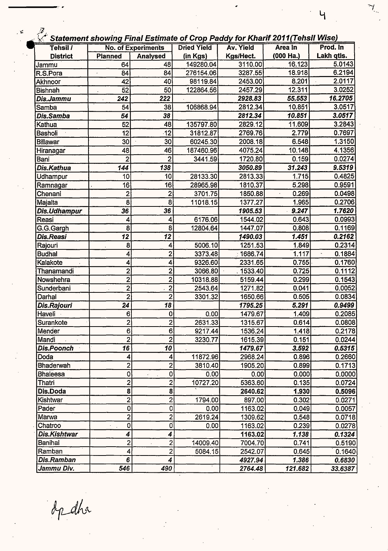|  | Statement showing Final Estimate of Crop Paddy for Kharif 2011 (Tehsil Wise |  |
|--|-----------------------------------------------------------------------------|--|
|--|-----------------------------------------------------------------------------|--|

 $\overline{4}$ 

| Tehsil /          |                         | <b>No. of Experiments</b> | <b>Dried Yield</b> | Av. Yield | Area In   | Prod. In                |
|-------------------|-------------------------|---------------------------|--------------------|-----------|-----------|-------------------------|
| <b>District</b>   | <b>Planned</b>          | <b>Analysed</b>           | (in Kgs)           | Kgs/Hect. | (000 Ha.) | Lakh qtls.              |
| Jammu             | 64                      | 48                        | 149280.04          | 3110.00   | 16.123    | 5.0143                  |
| R.S.Pora          | 84                      | 84                        | 276154.06          | 3287.55   | 18.918    | 6.2194                  |
| Akhnoor           | 42                      | 40                        | 98119.84           | 2453.00   | 8.201     | 2.0117                  |
| <b>Bishnah</b>    | 52                      | 50                        | 122864.56          | 2457.29   | 12.311    | 3.0252                  |
| Dis.Jammu         | 242                     | 222                       |                    | 2928.83   | 55.553    | 16.2705                 |
| Samba             | 54                      | 38                        | 106868.94          | 2812.34   | 10.851    | 3.0517                  |
| Dis.Samba         | 54                      | 38                        |                    | 2812.34   | 10.851    | 3.0517                  |
| Kathua            | 52                      | 48                        | 135797.80          | 2829.12   | 11.609    | 3.2843                  |
| Basholi           | 12                      | $-12$                     | 31812.87           | 2769.76   | 2.779     | 0.7697                  |
| <b>Billawar</b>   | 30                      | 30                        | 60245.30           | 2008.18   | 6.548     | 1.3150                  |
| Hiranagar         | 48                      | 46                        | 187460.96          | 4075.24   | 10.148    | 4.1356                  |
| Bani              | $\overline{2}$          | $\overline{2}$            | 3441.59            | 1720.80   | 0.159     | 0.0274                  |
| Dis.Kathua        | 144                     | 138                       |                    | 3050.89   | 31.243    | 9.5319                  |
| Udhampur          | 10                      | 10                        | 28133.30           | 2813.33   | 1.715     | 0.4825                  |
| Ramnagar          | 16                      | 16                        | 28965.98           | 1810.37   | 5.298     | 0.9591                  |
| Chenani           | $\overline{\mathbf{c}}$ | $\overline{\mathbf{c}}$   | 3701.75            | 1850.88   | 0.269     | 0.0498                  |
| Majalta           | 8                       | $\overline{8}$            | 11018.15           | 1377.27   | 1.965     | 0.2706                  |
| Dis.Udhampur      | 36                      | 36                        |                    | 1905.53   | 9.247     | 1.7620                  |
| Reasi             | 4                       | 4                         | 6176.06            | 1544.02   | 0.643     | 0.0993                  |
| G.G.Gargh         | 8                       | 8 <sup>1</sup>            | 12804.64           | 1447.07   | 0.808     | 0.1169                  |
| Dis.Reasi         | 12                      | 12                        |                    | 1490.03   | 1.451     | 0.2162                  |
| Rajouri           | 8                       | 4                         | 5006.10            | 1251.53   | 1.849     | 0.2314                  |
| <b>Budhal</b>     | 4                       | $\overline{2}$            | 3373.48            | 1686.74   | 1.117     | 0.1884<br>$\bar{\star}$ |
| Kalakote          | 4                       | $\overline{\mathbf{4}}$   | 9326.60            | 2331.65   | 0.755     | 0.1760                  |
| Thanamandi        | $\overline{c}$          | $\overline{2}$            | 3066.80            | 1533.40   | 0.725     | 0.1112                  |
| Nowshehra         | $\overline{c}$          | $\overline{2}$            | 10318.88           | 5159.44   | 0.299     | 0.1543                  |
| Sunderbani        | $\overline{\mathbf{c}}$ | $\overline{2}$            | 2543.64            | 1271.82   | 0.041     | 0.0052                  |
| Darhal            | $\overline{2}$          | $\overline{2}$            | 3301.32            | 1650.66   | 0.505     | 0.0834                  |
| Dis.Rajouri       | 24                      | 18                        |                    | 1795.25   | 5.291     | 0.9499                  |
| Haveli ·          | 6 <sup>1</sup>          | $\mathbf 0$               | 0.00               | 1479.67   | 1.409     | 0.2085                  |
| Surankote         | $\mathbf{2}$            | $\overline{2}$            | 2631.33            | 1315.67   | 0.614     | 0.0808                  |
| Mender            | 6                       | $\overline{6}$            | 9217.44            | 1536.24   | 1.418     | 0.2178                  |
| Mandi             | $\overline{2}$          | $\overline{c}$            | 3230.77            | 1615.39   | 0.151     | 0.0244                  |
| <b>Dis.Poonch</b> | 16                      | 10                        |                    | 1479.67   | 3.592     | 0.5315                  |
| Doda              | 4                       | $\boldsymbol{4}$          | 11872.96           | 2968.24   | 0.896     | 0.2660                  |
| Bhaderwah         | $\overline{\mathbf{2}}$ | $\mathbf{2}$              | 3810.40            | 1905.20   | 0.899     | 0.1713                  |
| <b>Bhaleesa</b>   | $\overline{0}$          | $\overline{0}$<br>уć.     | 0.00               | 0.00      | 0.000     | 0.0000                  |
| Thatri            | $\overline{2}$          | $\overline{c}$            | 10727.20           | 5363.60   | 0.135     | 0.0724                  |
| Dis.Doda          | 8                       | 8                         |                    | 2640.62   | 1.930     | 0.5096                  |
| Kishtwar          | $\overline{\mathbf{2}}$ | $\overline{2}$            | 1794.00            | 897.00    | 0.302     | 0.0271                  |
| Pader             | $\bf{0}$                | $\mathbf 0$               | 0.00               | 1163.02   | 0.049     | 0.0057                  |
| Marwa             | $\overline{2}$          | $\overline{2}$            | 2619.24            | 1309.62   | 0.548     | 0.0718                  |
| Chatroo           | $\bf{0}$                | 0                         | 0.00               | 1163.02   | 0.239     | 0.0278                  |
| Dis.Kishtwar      | 4                       | 4                         |                    | 1163.02   | 1.138     | 0.1324                  |
| Banihal           | $\overline{2}$          | $\overline{2}$            | 14009.40           | 7004.70   | 0.741     | 0.5190                  |
| Ramban            | $\overline{\mathbf{4}}$ | $\overline{2}$            | 5084.15            | 2542.07   | 0.645     | 0.1640                  |
| Dis.Ramban        | 6                       | 4                         |                    | 4927.94   | 1.386     | 0.6830                  |
| Jammu Div.        | 546                     | 490                       |                    | 2764.48   | 121.682   | 33.6387                 |

opdha

 $\mathfrak{p}$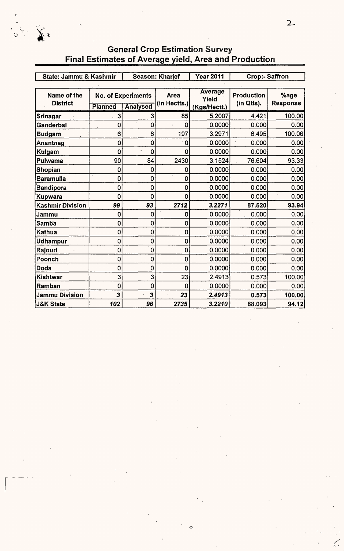| State: Jammu & Kashmir         |                | <b>Season: Kharief</b>                       |                      | <b>Year 2011</b>                 | <b>Crop:- Saffron</b>           |                         |
|--------------------------------|----------------|----------------------------------------------|----------------------|----------------------------------|---------------------------------|-------------------------|
| Name of the<br><b>District</b> | <b>Planned</b> | <b>No. of Experiments</b><br><b>Analysed</b> | Area<br>(in Hectts.) | Average<br>Yield<br>(Kgs/Hectt.) | <b>Production</b><br>(in Qtls). | %age<br><b>Response</b> |
| Srinagar                       | 3<br>Ł.        | 3                                            | 85                   | 5.2007                           | 4.421                           | 100.00                  |
| Ganderbal                      | 0              | $\mathbf 0$                                  | 0                    | 0.0000                           | 0.000                           | 0.00                    |
| <b>Budgam</b>                  | 6              | 6                                            | 197                  | 3.2971                           | 6.495                           | 100.00                  |
| Anantnag                       | $\mathbf 0$    | $\mathbf 0$                                  | $\mathbf 0$          | 0.0000                           | 0.000                           | 0.00                    |
| Kulgam                         | $\overline{0}$ | $\mathbf 0$                                  | $\overline{0}$       | 0.0000                           | 0.000                           | 0.00                    |
| Pulwama                        | 90             | 84                                           | 2430                 | 3.1524                           | 76.604                          | 93.33                   |
| <b>Shopian</b>                 | $\mathbf 0$    | $\mathbf 0$                                  | 0                    | 0.0000                           | 0.000                           | 0.00                    |
| <b>Baramulla</b>               | 0              | $\mathbf 0$                                  | 0                    | 0.0000                           | 0.000                           | 0.00                    |
| Bandipora                      | 0              | $\mathbf 0$                                  | 0                    | 0.0000                           | 0.000                           | 0.00                    |
| Kupwara                        | 0              | $\mathbf 0$                                  | 0                    | 0.0000                           | 0.000                           | 0.00                    |
| <b>Kashmir Division</b>        | 99             | 93                                           | 2712                 | 3.2271                           | 87.520                          | 93.94                   |
| Jammu                          | 0              | $\mathbf 0$                                  | $\mathbf 0$          | 0.0000                           | 0.000                           | 0.00                    |
| <b>Samba</b>                   | $\mathbf 0$    | $\mathbf 0$                                  | $\mathbf 0$          | 0.0000                           | 0.000                           | 0.00                    |
| Kathua                         | 0              | $\mathbf 0$                                  | 0                    | 0.0000                           | 0.000                           | 0.00                    |
| <b>Udhampur</b>                | 0              | $\mathbf 0$                                  | 0                    | 0.0000                           | 0.000                           | 0.00                    |
| Rajouri                        | 0              | $\mathbf 0$                                  | 0                    | 0.0000                           | 0.000                           | 0.00                    |
| Poonch                         | 0              | $\overline{0}$                               | 0                    | 0.0000                           | 0.000                           | 0.00 <sup>1</sup>       |
| <b>Doda</b>                    | 0              | $\overline{0}$                               | 0                    | 0.0000                           | 0.000                           | 0.00                    |
| <b>Kishtwar</b>                | 3              | 3                                            | 23                   | 2.4913                           | 0.573                           | 100.00                  |
| Ramban                         | 0              | $\mathbf 0$                                  | 0                    | 0.0000                           | 0.000                           | 0.00                    |
| <b>Jammu Division</b>          | 3              | 3                                            | 23                   | 2.4913                           | 0.573                           | 100.00                  |
| <b>J&amp;K State</b>           | 102            | 96                                           | 2735                 | 3.2210                           | 88.093                          | 94.12                   |

### **General Crop Estimation Survey** Final Estimates of Average yield, Area and Production

(·

 $\widetilde{\lambda}$  .

 $\overline{\mathcal{C}}$